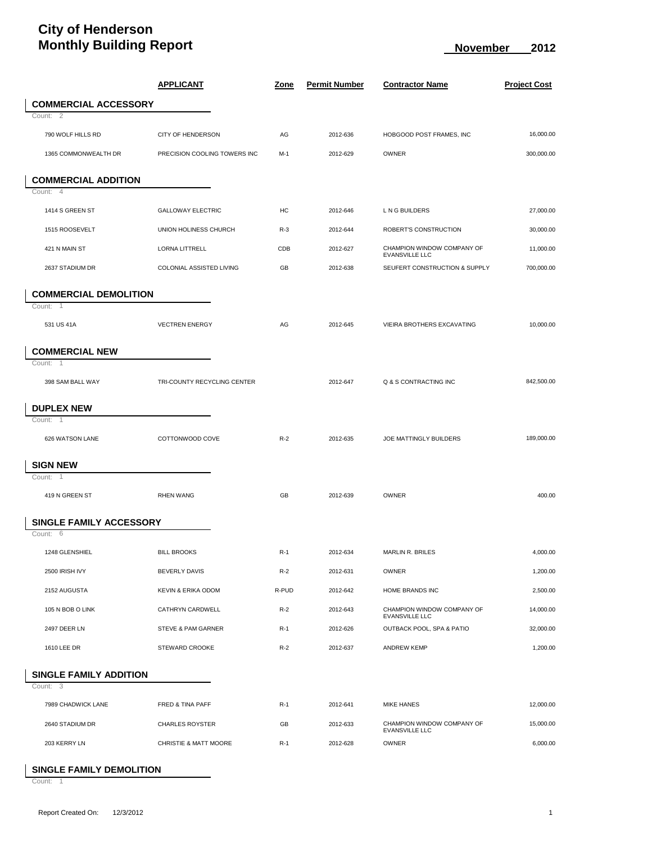## **City of Henderson Monthly Building Report November 2012**

|                               | <b>APPLICANT</b>             | <u>Zone</u> | <b>Permit Number</b> | <b>Contractor Name</b>                              | <b>Project Cost</b> |  |  |  |
|-------------------------------|------------------------------|-------------|----------------------|-----------------------------------------------------|---------------------|--|--|--|
| <b>COMMERCIAL ACCESSORY</b>   |                              |             |                      |                                                     |                     |  |  |  |
| Count: 2                      |                              |             |                      |                                                     |                     |  |  |  |
| 790 WOLF HILLS RD             | <b>CITY OF HENDERSON</b>     | AG          | 2012-636             | HOBGOOD POST FRAMES, INC                            | 16.000.00           |  |  |  |
| 1365 COMMONWEALTH DR          | PRECISION COOLING TOWERS INC | $M-1$       | 2012-629             | <b>OWNER</b>                                        | 300,000.00          |  |  |  |
| <b>COMMERCIAL ADDITION</b>    |                              |             |                      |                                                     |                     |  |  |  |
| Count: 4                      |                              |             |                      |                                                     |                     |  |  |  |
| 1414 S GREEN ST               | <b>GALLOWAY ELECTRIC</b>     | HC          | 2012-646             | L N G BUILDERS                                      | 27,000.00           |  |  |  |
| 1515 ROOSEVELT                | UNION HOLINESS CHURCH        | $R-3$       | 2012-644             | ROBERT'S CONSTRUCTION                               | 30,000.00           |  |  |  |
| 421 N MAIN ST                 | <b>LORNA LITTRELL</b>        | CDB         | 2012-627             | CHAMPION WINDOW COMPANY OF<br><b>EVANSVILLE LLC</b> | 11,000.00           |  |  |  |
| 2637 STADIUM DR               | COLONIAL ASSISTED LIVING     | GB          | 2012-638             | SEUFERT CONSTRUCTION & SUPPLY                       | 700,000.00          |  |  |  |
| <b>COMMERCIAL DEMOLITION</b>  |                              |             |                      |                                                     |                     |  |  |  |
| Count: 1                      |                              |             |                      |                                                     |                     |  |  |  |
| 531 US 41A                    | <b>VECTREN ENERGY</b>        | AG          | 2012-645             | VIEIRA BROTHERS EXCAVATING                          | 10,000.00           |  |  |  |
| <b>COMMERCIAL NEW</b>         |                              |             |                      |                                                     |                     |  |  |  |
| Count: 1                      |                              |             |                      |                                                     |                     |  |  |  |
| 398 SAM BALL WAY              | TRI-COUNTY RECYCLING CENTER  |             | 2012-647             | Q & S CONTRACTING INC                               | 842,500.00          |  |  |  |
| <b>DUPLEX NEW</b>             |                              |             |                      |                                                     |                     |  |  |  |
| Count: 1                      |                              |             |                      |                                                     |                     |  |  |  |
| 626 WATSON LANE               | COTTONWOOD COVE              | $R-2$       | 2012-635             | JOE MATTINGLY BUILDERS                              | 189,000.00          |  |  |  |
| <b>SIGN NEW</b>               |                              |             |                      |                                                     |                     |  |  |  |
| Count:<br>$\overline{1}$      |                              |             |                      |                                                     |                     |  |  |  |
| 419 N GREEN ST                | <b>RHEN WANG</b>             | GB          | 2012-639             | OWNER                                               | 400.00              |  |  |  |
| SINGLE FAMILY ACCESSORY       |                              |             |                      |                                                     |                     |  |  |  |
| Count: 6                      |                              |             |                      |                                                     |                     |  |  |  |
| 1248 GLENSHIEL                | <b>BILL BROOKS</b>           | $R-1$       | 2012-634             | MARLIN R. BRILES                                    | 4,000.00            |  |  |  |
| 2500 IRISH IVY                | <b>BEVERLY DAVIS</b>         | $R-2$       | 2012-631             | OWNER                                               | 1,200.00            |  |  |  |
| 2152 AUGUSTA                  | KEVIN & ERIKA ODOM           | R-PUD       | 2012-642             | HOME BRANDS INC                                     | 2,500.00            |  |  |  |
| 105 N BOB O LINK              | CATHRYN CARDWELL             | $R-2$       | 2012-643             | CHAMPION WINDOW COMPANY OF<br><b>EVANSVILLE LLC</b> | 14,000.00           |  |  |  |
| 2497 DEER LN                  | STEVE & PAM GARNER           | $R-1$       | 2012-626             | OUTBACK POOL, SPA & PATIO                           | 32,000.00           |  |  |  |
| 1610 LEE DR                   | <b>STEWARD CROOKE</b>        | $R-2$       | 2012-637             | <b>ANDREW KEMP</b>                                  | 1,200.00            |  |  |  |
| <b>SINGLE FAMILY ADDITION</b> |                              |             |                      |                                                     |                     |  |  |  |
| Count: 3                      |                              |             |                      |                                                     |                     |  |  |  |
| 7989 CHADWICK LANE            | FRED & TINA PAFF             | $R-1$       | 2012-641             | MIKE HANES                                          | 12,000.00           |  |  |  |
| 2640 STADIUM DR               | <b>CHARLES ROYSTER</b>       | GB          | 2012-633             | CHAMPION WINDOW COMPANY OF<br>EVANSVILLE LLC        | 15,000.00           |  |  |  |
| 203 KERRY LN                  | CHRISTIE & MATT MOORE        | $R-1$       | 2012-628             | OWNER                                               | 6,000.00            |  |  |  |

## **SINGLE FAMILY DEMOLITION**

Count: 1